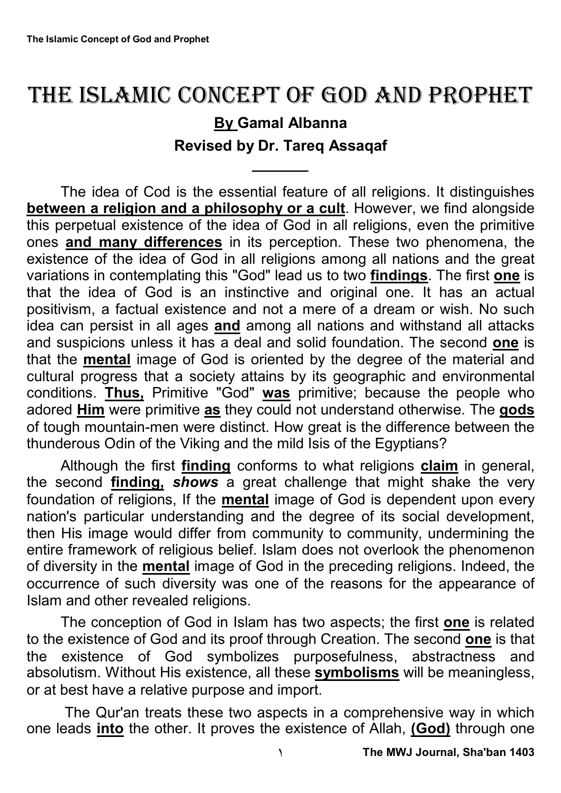## THE ISLAMIC CONCEPT OF GOD AND PROPHET

## **By Gamal Albanna Revised by Dr. Tareq Assaqaf**

ــــــــــــــــــ

The idea of Cod is the essential feature of all religions. It distinguishes **between a religion and a philosophy or a cult**. However, we find alongside this perpetual existence of the idea of God in all religions, even the primitive ones **and many differences** in its perception. These two phenomena, the existence of the idea of God in all religions among all nations and the great variations in contemplating this "God" lead us to two **findings**. The first **one** is that the idea of God is an instinctive and original one. It has an actual positivism, a factual existence and not a mere of a dream or wish. No such idea can persist in all ages **and** among all nations and withstand all attacks and suspicions unless it has a deal and solid foundation. The second **one** is that the **mental** image of God is oriented by the degree of the material and cultural progress that a society attains by its geographic and environmental conditions. **Thus,** Primitive "God" **was** primitive; because the people who adored **Him** were primitive **as** they could not understand otherwise. The **gods** of tough mountain-men were distinct. How great is the difference between the thunderous Odin of the Viking and the mild Isis of the Egyptians?

Although the first **finding** conforms to what religions **claim** in general, the second **finding,** *shows* a great challenge that might shake the very foundation of religions, If the **mental** image of God is dependent upon every nation's particular understanding and the degree of its social development, then His image would differ from community to community, undermining the entire framework of religious belief. Islam does not overlook the phenomenon of diversity in the **mental** image of God in the preceding religions. Indeed, the occurrence of such diversity was one of the reasons for the appearance of Islam and other revealed religions.

The conception of God in Islam has two aspects; the first **one** is related to the existence of God and its proof through Creation. The second **one** is that the existence of God symbolizes purposefulness, abstractness and absolutism. Without His existence, all these **symbolisms** will be meaningless, or at best have a relative purpose and import.

The Qur'an treats these two aspects in a comprehensive way in which one leads **into** the other. It proves the existence of Allah, **(God)** through one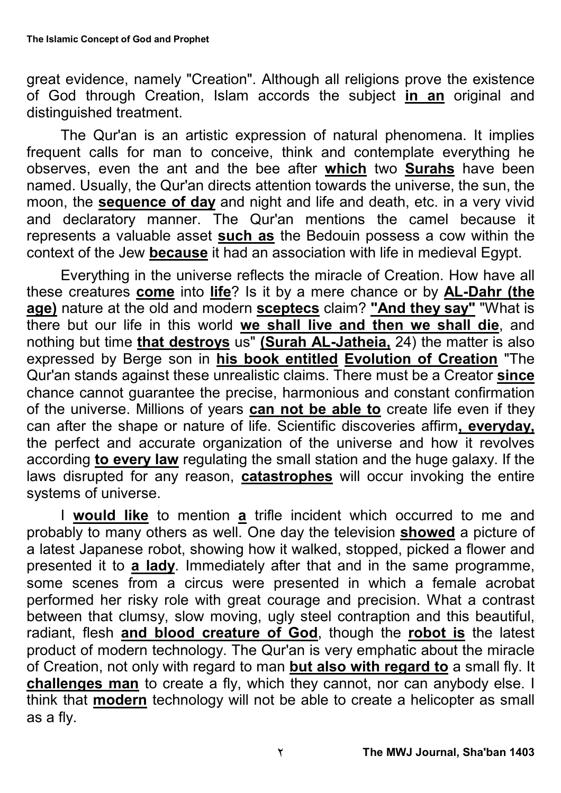great evidence, namely "Creation". Although all religions prove the existence of God through Creation, Islam accords the subject **in an** original and distinguished treatment.

The Qur'an is an artistic expression of natural phenomena. It implies frequent calls for man to conceive, think and contemplate everything he observes, even the ant and the bee after **which** two **Surahs** have been named. Usually, the Qur'an directs attention towards the universe, the sun, the moon, the **sequence of day** and night and life and death, etc. in a very vivid and declaratory manner. The Qur'an mentions the camel because it represents a valuable asset **such as** the Bedouin possess a cow within the context of the Jew **because** it had an association with life in medieval Egypt.

Everything in the universe reflects the miracle of Creation. How have all these creatures **come** into **life**? Is it by a mere chance or by **AL-Dahr (the age)** nature at the old and modern **sceptecs** claim? **"And they say"** "What is there but our life in this world **we shall live and then we shall die**, and nothing but time **that destroys** us" **(Surah AL-Jatheia,** 24) the matter is also expressed by Berge son in **his book entitled Evolution of Creation** "The Qur'an stands against these unrealistic claims. There must be a Creator **since** chance cannot guarantee the precise, harmonious and constant confirmation of the universe. Millions of years **can not be able to** create life even if they can after the shape or nature of life. Scientific discoveries affirm**, everyday,** the perfect and accurate organization of the universe and how it revolves according **to every law** regulating the small station and the huge galaxy. If the laws disrupted for any reason, **catastrophes** will occur invoking the entire systems of universe.

I **would like** to mention **a** trifle incident which occurred to me and probably to many others as well. One day the television **showed** a picture of a latest Japanese robot, showing how it walked, stopped, picked a flower and presented it to **a lady**. Immediately after that and in the same programme, some scenes from a circus were presented in which a female acrobat performed her risky role with great courage and precision. What a contrast between that clumsy, slow moving, ugly steel contraption and this beautiful, radiant, flesh **and blood creature of God**, though the **robot is** the latest product of modern technology. The Qur'an is very emphatic about the miracle of Creation, not only with regard to man **but also with regard to** a small fly. It **challenges man** to create a fly, which they cannot, nor can anybody else. I think that **modern** technology will not be able to create a helicopter as small as a fly.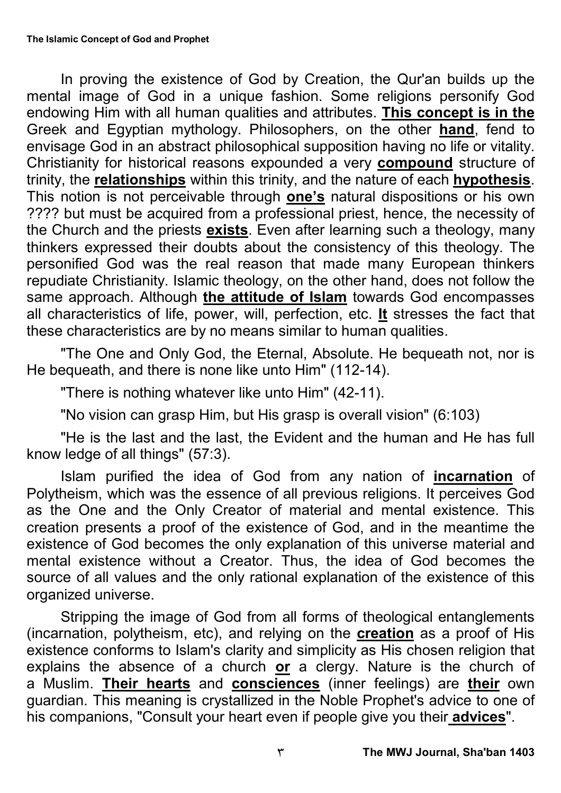In proving the existence of God by Creation, the Qur'an builds up the mental image of God in a unique fashion. Some religions personify God endowing Him with all human qualities and attributes. **This concept is in the** Greek and Egyptian mythology. Philosophers, on the other **hand**, fend to envisage God in an abstract philosophical supposition having no life or vitality. Christianity for historical reasons expounded a very **compound** structure of trinity, the **relationships** within this trinity, and the nature of each **hypothesis**. This notion is not perceivable through **one's** natural dispositions or his own ???? but must be acquired from a professional priest, hence, the necessity of the Church and the priests **exists**. Even after learning such a theology, many thinkers expressed their doubts about the consistency of this theology. The personified God was the real reason that made many European thinkers repudiate Christianity. Islamic theology, on the other hand, does not follow the same approach. Although **the attitude of Islam** towards God encompasses all characteristics of life, power, will, perfection, etc. **It** stresses the fact that these characteristics are by no means similar to human qualities.

"The One and Only God, the Eternal, Absolute. He bequeath not, nor is He bequeath, and there is none like unto Him" (112-14).

"There is nothing whatever like unto Him" (42-11).

"No vision can grasp Him, but His grasp is overall vision" (6:103)

"He is the last and the last, the Evident and the human and He has full know ledge of all things" (57:3).

Islam purified the idea of God from any nation of **incarnation** of Polytheism, which was the essence of all previous religions. It perceives God as the One and the Only Creator of material and mental existence. This creation presents a proof of the existence of God, and in the meantime the existence of God becomes the only explanation of this universe material and mental existence without a Creator. Thus, the idea of God becomes the source of all values and the only rational explanation of the existence of this organized universe.

Stripping the image of God from all forms of theological entanglements (incarnation, polytheism, etc), and relying on the **creation** as a proof of His existence conforms to Islam's clarity and simplicity as His chosen religion that explains the absence of a church **or** a clergy. Nature is the church of a Muslim. **Their hearts** and **consciences** (inner feelings) are **their** own guardian. This meaning is crystallized in the Noble Prophet's advice to one of his companions, "Consult your heart even if people give you their **advices**".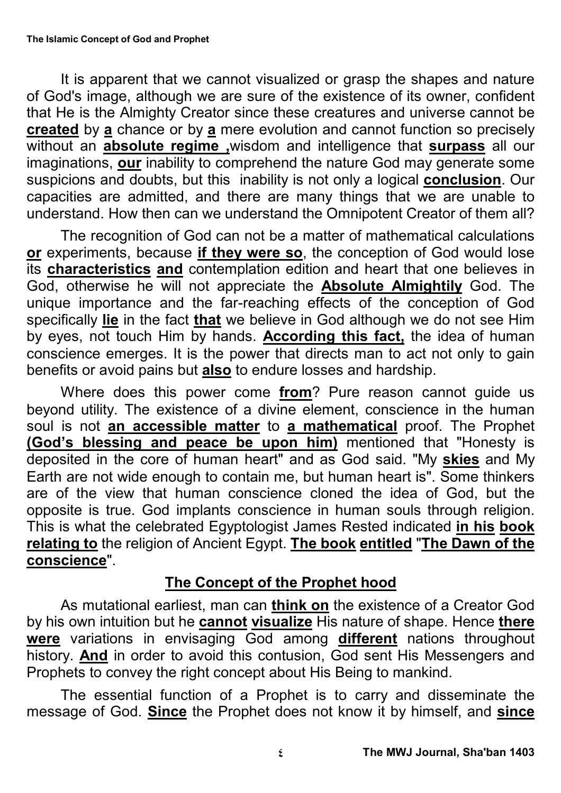It is apparent that we cannot visualized or grasp the shapes and nature of God's image, although we are sure of the existence of its owner, confident that He is the Almighty Creator since these creatures and universe cannot be **created** by **a** chance or by **a** mere evolution and cannot function so precisely without an **absolute regime** wisdom and intelligence that **surpass** all our imaginations, **our** inability to comprehend the nature God may generate some suspicions and doubts, but this inability is not only a logical **conclusion**. Our capacities are admitted, and there are many things that we are unable to understand. How then can we understand the Omnipotent Creator of them all?

The recognition of God can not be a matter of mathematical calculations **or** experiments, because **if they were so**, the conception of God would lose its **characteristics and** contemplation edition and heart that one believes in God, otherwise he will not appreciate the **Absolute Almightily** God. The unique importance and the far-reaching effects of the conception of God specifically **lie** in the fact **that** we believe in God although we do not see Him by eyes, not touch Him by hands. **According this fact,** the idea of human conscience emerges. It is the power that directs man to act not only to gain benefits or avoid pains but **also** to endure losses and hardship.

Where does this power come **from**? Pure reason cannot guide us beyond utility. The existence of a divine element, conscience in the human soul is not **an accessible matter** to **a mathematical** proof. The Prophet **(God's blessing and peace be upon him)** mentioned that "Honesty is deposited in the core of human heart" and as God said. "My **skies** and My Earth are not wide enough to contain me, but human heart is". Some thinkers are of the view that human conscience cloned the idea of God, but the opposite is true. God implants conscience in human souls through religion. This is what the celebrated Egyptologist James Rested indicated **in his book relating to** the religion of Ancient Egypt. **The book entitled** "**The Dawn of the conscience**".

## **The Concept of the Prophet hood**

As mutational earliest, man can **think on** the existence of a Creator God by his own intuition but he **cannot visualize** His nature of shape. Hence **there were** variations in envisaging God among **different** nations throughout history. **And** in order to avoid this contusion, God sent His Messengers and Prophets to convey the right concept about His Being to mankind.

The essential function of a Prophet is to carry and disseminate the message of God. **Since** the Prophet does not know it by himself, and **since**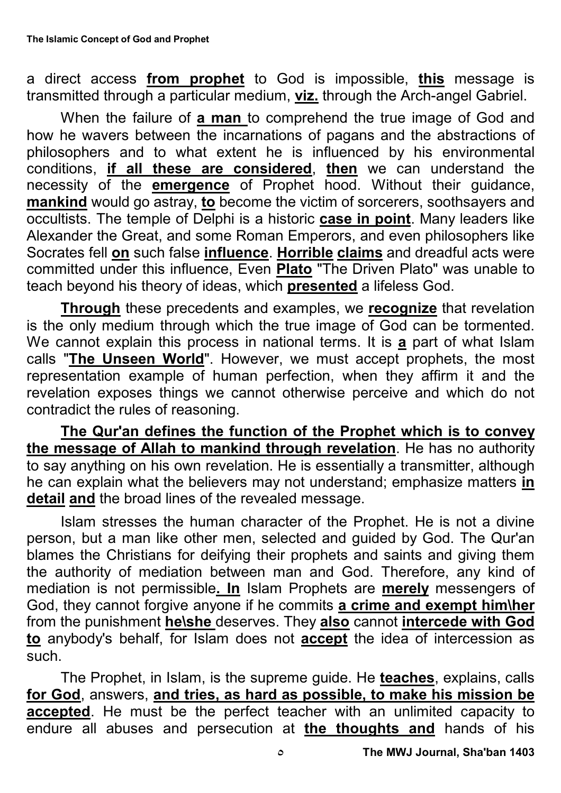a direct access **from prophet** to God is impossible, **this** message is transmitted through a particular medium, **viz.** through the Arch-angel Gabriel.

When the failure of **a man** to comprehend the true image of God and how he wavers between the incarnations of pagans and the abstractions of philosophers and to what extent he is influenced by his environmental conditions, **if all these are considered**, **then** we can understand the necessity of the **emergence** of Prophet hood. Without their guidance, **mankind** would go astray, **to** become the victim of sorcerers, soothsayers and occultists. The temple of Delphi is a historic **case in point**. Many leaders like Alexander the Great, and some Roman Emperors, and even philosophers like Socrates fell **on** such false **influence**. **Horrible claims** and dreadful acts were committed under this influence, Even **Plato** "The Driven Plato" was unable to teach beyond his theory of ideas, which **presented** a lifeless God.

**Through** these precedents and examples, we **recognize** that revelation is the only medium through which the true image of God can be tormented. We cannot explain this process in national terms. It is **a** part of what Islam calls "The Unseen World". However, we must accept prophets, the most representation example of human perfection, when they affirm it and the revelation exposes things we cannot otherwise perceive and which do not contradict the rules of reasoning.

**The Qur'an defines the function of the Prophet which is to convey the message of Allah to mankind through revelation**. He has no authority to say anything on his own revelation. He is essentially a transmitter, although he can explain what the believers may not understand; emphasize matters **in detail and** the broad lines of the revealed message.

Islam stresses the human character of the Prophet. He is not a divine person, but a man like other men, selected and guided by God. The Qur'an blames the Christians for deifying their prophets and saints and giving them the authority of mediation between man and God. Therefore, any kind of mediation is not permissible**. In** Islam Prophets are **merely** messengers of God, they cannot forgive anyone if he commits **a crime and exempt him\her** from the punishment **he\she** deserves. They **also** cannot **intercede with God to** anybody's behalf, for Islam does not **accept** the idea of intercession as such.

The Prophet, in Islam, is the supreme guide. He **teaches**, explains, calls **for God**, answers, **and tries, as hard as possible, to make his mission be accepted**. He must be the perfect teacher with an unlimited capacity to endure all abuses and persecution at **the thoughts and** hands of his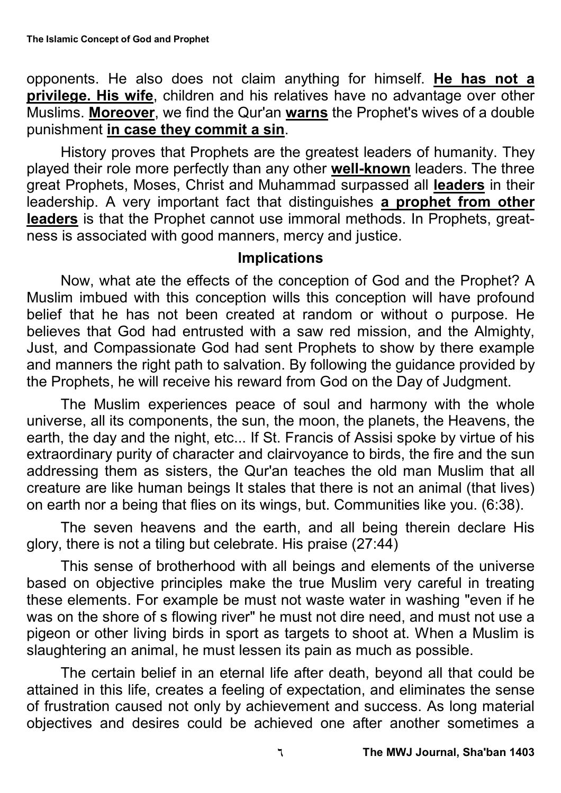opponents. He also does not claim anything for himself. **He has not a privilege. His wife**, children and his relatives have no advantage over other Muslims. **Moreover**, we find the Qur'an **warns** the Prophet's wives of a double punishment **in case they commit a sin**.

History proves that Prophets are the greatest leaders of humanity. They played their role more perfectly than any other **well-known** leaders. The three great Prophets, Moses, Christ and Muhammad surpassed all **leaders** in their leadership. A very important fact that distinguishes **a prophet from other leaders** is that the Prophet cannot use immoral methods. In Prophets, greatness is associated with good manners, mercy and justice.

## **Implications**

Now, what ate the effects of the conception of God and the Prophet? A Muslim imbued with this conception wills this conception will have profound belief that he has not been created at random or without o purpose. He believes that God had entrusted with a saw red mission, and the Almighty, Just, and Compassionate God had sent Prophets to show by there example and manners the right path to salvation. By following the guidance provided by the Prophets, he will receive his reward from God on the Day of Judgment.

The Muslim experiences peace of soul and harmony with the whole universe, all its components, the sun, the moon, the planets, the Heavens, the earth, the day and the night, etc... If St. Francis of Assisi spoke by virtue of his extraordinary purity of character and clairvoyance to birds, the fire and the sun addressing them as sisters, the Qur'an teaches the old man Muslim that all creature are like human beings It stales that there is not an animal (that lives) on earth nor a being that flies on its wings, but. Communities like you. (6:38).

The seven heavens and the earth, and all being therein declare His glory, there is not a tiling but celebrate. His praise (27:44)

This sense of brotherhood with all beings and elements of the universe based on objective principles make the true Muslim very careful in treating these elements. For example be must not waste water in washing "even if he was on the shore of s flowing river" he must not dire need, and must not use a pigeon or other living birds in sport as targets to shoot at. When a Muslim is slaughtering an animal, he must lessen its pain as much as possible.

The certain belief in an eternal life after death, beyond all that could be attained in this life, creates a feeling of expectation, and eliminates the sense of frustration caused not only by achievement and success. As long material objectives and desires could be achieved one after another sometimes a